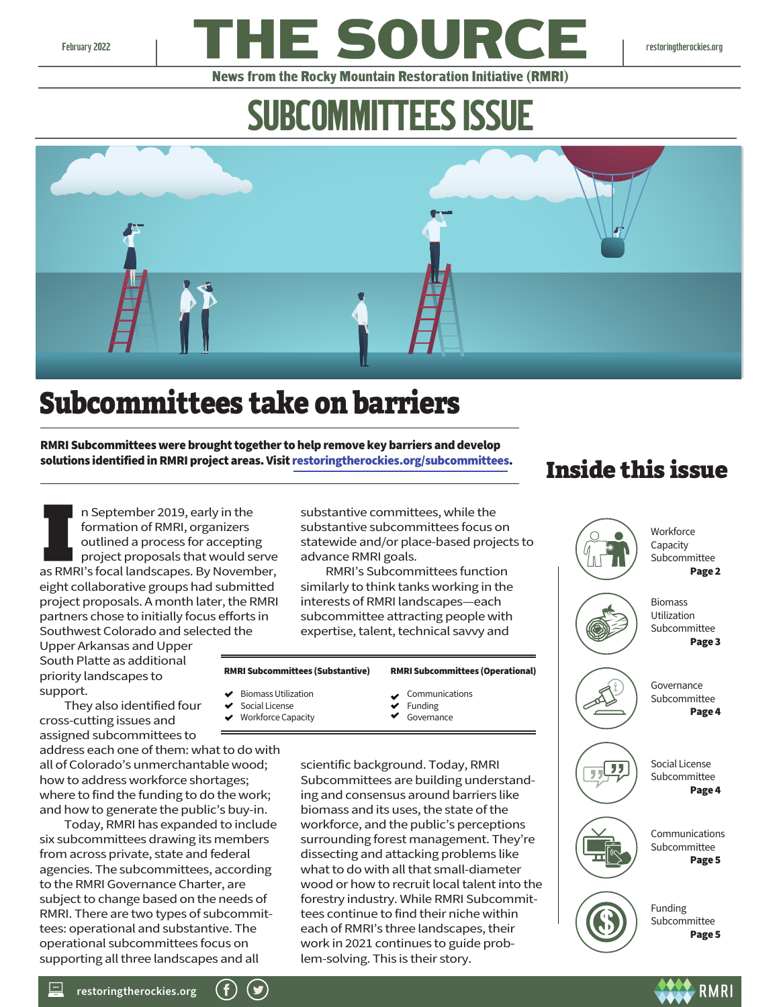

News from the Rocky Mountain Restoration Initiative (RMRI)

# SUBCOMMITTEES ISSUE



# Subcommittees take on barriers

RMRI Subcommittees were brought together to help remove key barriers and develop solutions identified in RMRI project areas. Visi[t restoringtherockies.org/subcommittees.](https://restoringtherockies.org/subcommittees/)

n September 2019, early in the formation of RMRI, organizers outlined a process for accepting project proposals that would serve as RMRI's focal landscapes. By November, eight collaborative groups had submitted project proposals. A month later, the RMRI partners chose to initially focus efforts in Southwest Colorado and selected the

Upper Arkansas and Upper South Platte as additional priority landscapes to support.

 They also identified four cross-cutting issues and assigned subcommittees to

address each one of them: what to do with all of Colorado's unmerchantable wood; how to address workforce shortages; where to find the funding to do the work; and how to generate the public's buy-in.

 Today, RMRI has expanded to include six subcommittees drawing its members from across private, state and federal agencies. The subcommittees, according to the RMRI Governance Charter, are subject to change based on the needs of RMRI. There are two types of subcommittees: operational and substantive. The operational subcommittees focus on supporting all three landscapes and all

substantive committees, while the substantive subcommittees focus on statewide and/or place-based projects to advance RMRI goals.

 RMRI's Subcommittees function similarly to think tanks working in the interests of RMRI landscapes—each subcommittee attracting people with expertise, talent, technical savvy and

#### RMRI Subcommittees (Substantive) Biomass Utilization RMRI Subcommittees (Operational)

- Social License
- ◆ Workforce Capacity
- Communications Funding Governance

scientific background. Today, RMRI Subcommittees are building understanding and consensus around barriers like biomass and its uses, the state of the workforce, and the public's perceptions surrounding forest management. They're dissecting and attacking problems like what to do with all that small-diameter wood or how to recruit local talent into the forestry industry. While RMRI Subcommittees continue to find their niche within each of RMRI's three landscapes, their work in 2021 continues to guide problem-solving. This is their story.

## Inside this issue

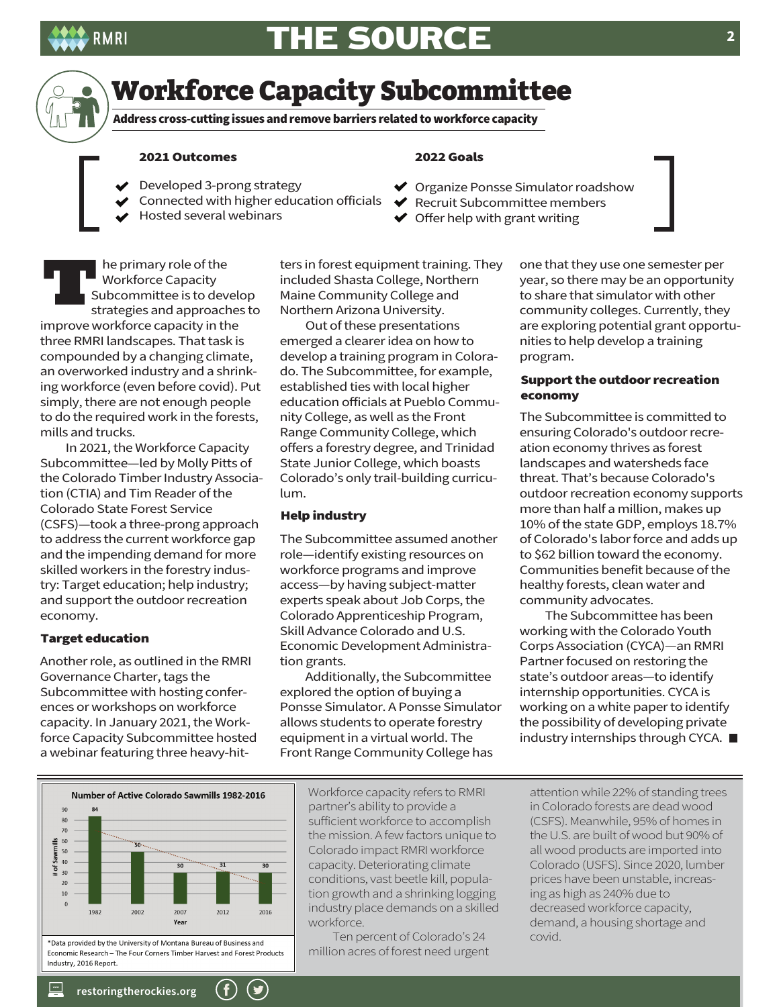



### Workforce Capacity Subcommittee

Address cross-cutting issues and remove barriers related to workforce capacity

#### 2021 Outcomes

- Developed 3-prong strategy
- Connected with higher education officials
- Hosted several webinars

he primary role of the Workforce Capacity Subcommittee is to develop strategies and approaches to improve workforce capacity in the three RMRI landscapes. That task is compounded by a changing climate, an overworked industry and a shrinking workforce (even before covid). Put simply, there are not enough people to do the required work in the forests, mills and trucks.

 In 2021, the Workforce Capacity Subcommittee—led by Molly Pitts of the Colorado Timber Industry Association (CTIA) and Tim Reader of the Colorado State Forest Service (CSFS)—took a three-prong approach to address the current workforce gap and the impending demand for more skilled workers in the forestry industry: Target education; help industry; and support the outdoor recreation economy.

### Target education

Another role, as outlined in the RMRI Governance Charter, tags the Subcommittee with hosting conferences or workshops on workforce capacity. In January 2021, the Workforce Capacity Subcommittee hosted a webinar featuring three heavy-hitters in forest equipment training. They included Shasta College, Northern Maine Community College and Northern Arizona University.

2022 Goals

◆ Organize Ponsse Simulator roadshow  $\blacktriangleright$  Recruit Subcommittee members  $\blacktriangleright$  Offer help with grant writing

 Out of these presentations emerged a clearer idea on how to develop a training program in Colorado. The Subcommittee, for example, established ties with local higher education officials at Pueblo Community College, as well as the Front Range Community College, which offers a forestry degree, and Trinidad State Junior College, which boasts Colorado's only trail-building curriculum.

#### Help industry

The Subcommittee assumed another role—identify existing resources on workforce programs and improve access—by having subject-matter experts speak about Job Corps, the Colorado Apprenticeship Program, Skill Advance Colorado and U.S. Economic Development Administration grants.

 Additionally, the Subcommittee explored the option of buying a Ponsse Simulator. A Ponsse Simulator allows students to operate forestry equipment in a virtual world. The Front Range Community College has

one that they use one semester per year, so there may be an opportunity to share that simulator with other community colleges. Currently, they are exploring potential grant opportunities to help develop a training program.

### Support the outdoor recreation economy

The Subcommittee is committed to ensuring Colorado's outdoor recreation economy thrives as forest landscapes and watersheds face threat. That's because Colorado's outdoor recreation economy supports more than half a million, makes up 10% of the state GDP, employs 18.7% of Colorado's labor force and adds up to \$62 billion toward the economy. Communities benefit because of the healthy forests, clean water and community advocates.

 The Subcommittee has been working with the Colorado Youth Corps Association (CYCA)—an RMRI Partner focused on restoring the state's outdoor areas—to identify internship opportunities. CYCA is working on a white paper to identify the possibility of developing private industry internships through CYCA.



Workforce capacity refers to RMRI partner's ability to provide a sufficient workforce to accomplish the mission. A few factors unique to Colorado impact RMRI workforce capacity. Deteriorating climate conditions, vast beetle kill, population growth and a shrinking logging industry place demands on a skilled workforce.

 Ten percent of Colorado's 24 million acres of forest need urgent attention while 22% of standing trees in Colorado forests are dead wood (CSFS). Meanwhile, 95% of homes in the U.S. are built of wood but 90% of all wood products are imported into Colorado (USFS). Since 2020, lumber prices have been unstable, increasing as high as 240% due to decreased workforce capacity, demand, a housing shortage and covid.

**[restoringtherockies.org](https://restoringtherockies.org/)**

 $\frac{1}{2}$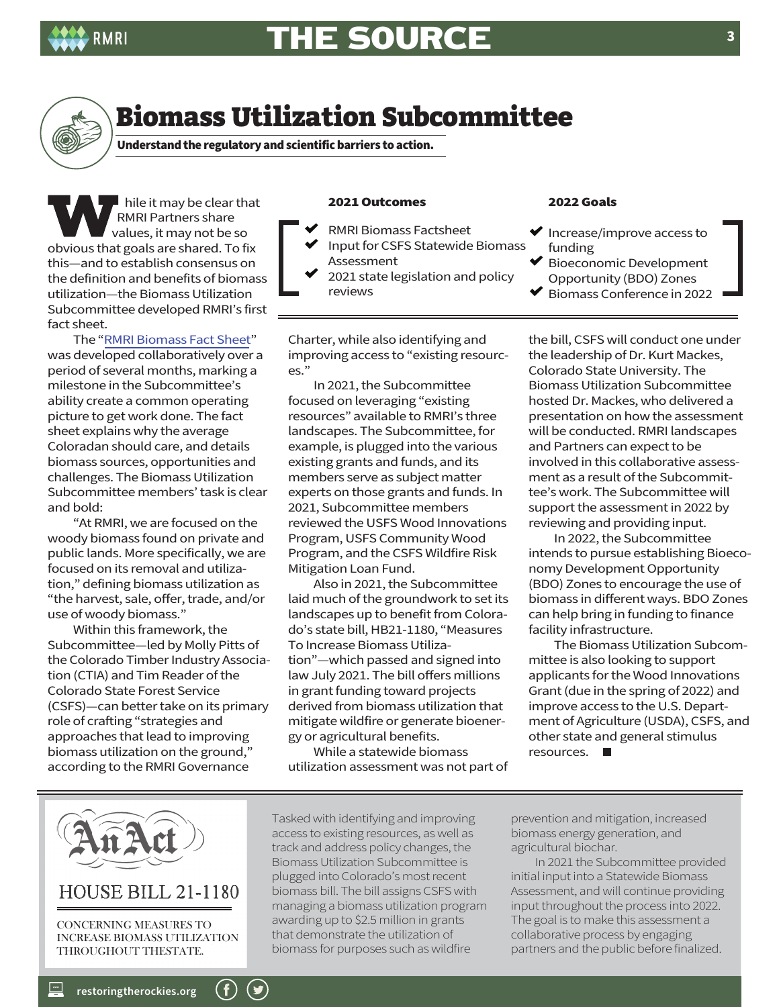



## Biomass Utilization Subcommittee

Understand the regulatory and scientific barriers to action.

hile it may be clear that RMRI Partners share values, it may not be so obvious that goals are shared. To fix this—and to establish consensus on the definition and benefits of biomass utilization—the Biomass Utilization Subcommittee developed RMRI's first fact sheet.

 The ["RMRI Biomass Fact Sheet"](https://rmri2019.files.wordpress.com/2021/11/factsheet-biomass.pdf)  was developed collaboratively over a period of several months, marking a milestone in the Subcommittee's ability create a common operating picture to get work done. The fact sheet explains why the average Coloradan should care, and details biomass sources, opportunities and challenges. The Biomass Utilization Subcommittee members' task is clear and bold:

 "At RMRI, we are focused on the woody biomass found on private and public lands. More specifically, we are focused on its removal and utilization," defining biomass utilization as "the harvest, sale, offer, trade, and/or use of woody biomass."

 Within this framework, the Subcommittee—led by Molly Pitts of the Colorado Timber Industry Association (CTIA) and Tim Reader of the Colorado State Forest Service (CSFS)—can better take on its primary role of crafting "strategies and approaches that lead to improving biomass utilization on the ground," according to the RMRI Governance

### 2021 Outcomes

- RMRI Biomass Factsheet
- Input for CSFS Statewide Biomass Assessment
- 2021 state legislation and policy reviews

Charter, while also identifying and improving access to "existing resources."

 In 2021, the Subcommittee focused on leveraging "existing resources" available to RMRI's three landscapes. The Subcommittee, for example, is plugged into the various existing grants and funds, and its members serve as subject matter experts on those grants and funds. In 2021, Subcommittee members reviewed the USFS Wood Innovations Program, USFS Community Wood Program, and the CSFS Wildfire Risk Mitigation Loan Fund.

 Also in 2021, the Subcommittee laid much of the groundwork to set its landscapes up to benefit from Colorado's state bill, HB21-1180, "Measures To Increase Biomass Utilization"—which passed and signed into law July 2021. The bill offers millions in grant funding toward projects derived from biomass utilization that mitigate wildfire or generate bioenergy or agricultural benefits.

 While a statewide biomass utilization assessment was not part of

### 2022 Goals

- $\blacktriangleright$  Increase/improve access to funding
- Bioeconomic Development Opportunity (BDO) Zones
- Biomass Conference in 2022

the bill, CSFS will conduct one under the leadership of Dr. Kurt Mackes, Colorado State University. The Biomass Utilization Subcommittee hosted Dr. Mackes, who delivered a presentation on how the assessment will be conducted. RMRI landscapes and Partners can expect to be involved in this collaborative assessment as a result of the Subcommittee's work. The Subcommittee will support the assessment in 2022 by reviewing and providing input.

 In 2022, the Subcommittee intends to pursue establishing Bioeconomy Development Opportunity (BDO) Zones to encourage the use of biomass in different ways. BDO Zones can help bring in funding to finance facility infrastructure.

 The Biomass Utilization Subcommittee is also looking to support applicants for the Wood Innovations Grant (due in the spring of 2022) and improve access to the U.S. Department of Agriculture (USDA), CSFS, and other state and general stimulus resources.



**[restoringtherockies.org](https://restoringtherockies.org/)**

 $\sim$ 

 $(\blacktriangleright)$ 

Tasked with identifying and improving access to existing resources, as well as track and address policy changes, the Biomass Utilization Subcommittee is plugged into Colorado's most recent biomass bill. The bill assigns CSFS with managing a biomass utilization program awarding up to \$2.5 million in grants that demonstrate the utilization of biomass for purposes such as wildfire

prevention and mitigation, increased biomass energy generation, and agricultural biochar.

 In 2021 the Subcommittee provided initial input into a Statewide Biomass Assessment, and will continue providing input throughout the process into 2022. The goal is to make this assessment a collaborative process by engaging partners and the public before finalized.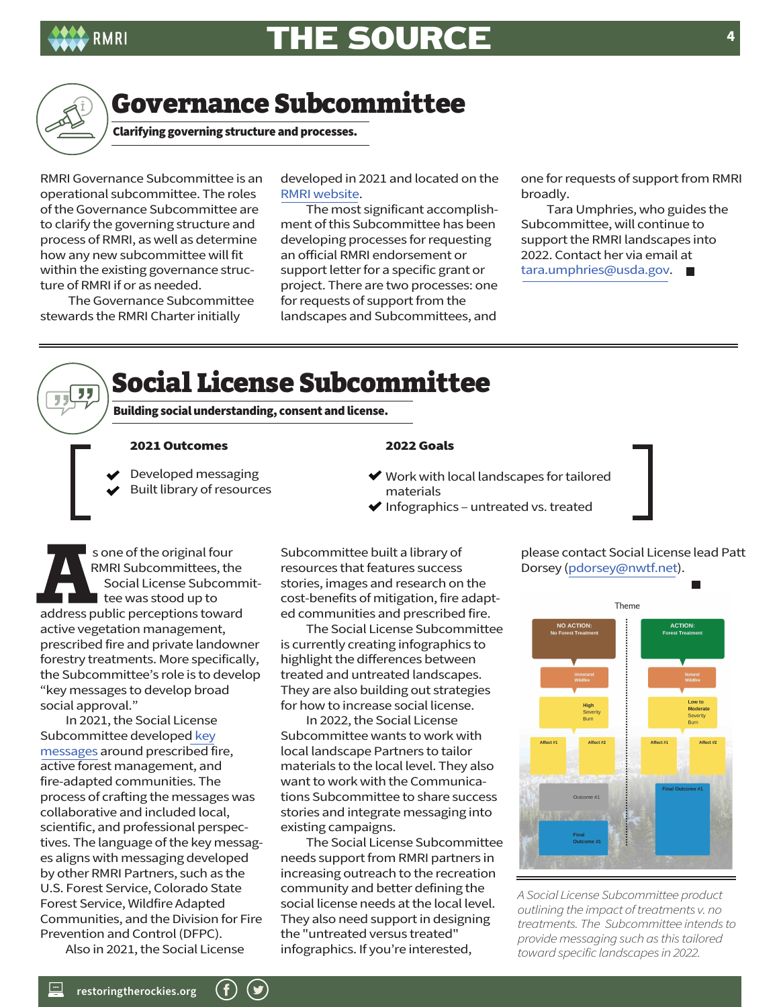



" 7 J

### Governance Subcommittee

Clarifying governing structure and processes.

RMRI Governance Subcommittee is an operational subcommittee. The roles of the Governance Subcommittee are to clarify the governing structure and process of RMRI, as well as determine how any new subcommittee will fit within the existing governance structure of RMRI if or as needed.

 The Governance Subcommittee stewards the RMRI Charter initially

developed in 2021 and located on the [RMRI website.](https://rmri2019.files.wordpress.com/2020/09/51cc6-rmri-governance-charter.pdf) 

 The most significant accomplishment of this Subcommittee has been developing processes for requesting an official RMRI endorsement or support letter for a specific grant or project. There are two processes: one for requests of support from the landscapes and Subcommittees, and

one for requests of support from RMRI broadly.

 Tara Umphries, who guides the Subcommittee, will continue to support the RMRI landscapes into 2022. Contact her via email at tara.umphries@usda.gov. ■

## Social License Subcommittee

Building social understanding, consent and license.

#### 2021 Outcomes

- Developed messaging
- Built library of resources

### 2022 Goals

- Work with local landscapes for tailored materials
- $\blacktriangleright$  Infographics untreated vs. treated

s one of the original four RMRI Subcommittees, the Social License Subcommittee was stood up to address public perceptions toward active vegetation management, prescribed fire and private landowner forestry treatments. More specifically, the Subcommittee's role is to develop "key messages to develop broad social approval."

 In 2021, the Social License Subcommittee developed key [messages around prescribed fir](https://rmri2019.files.wordpress.com/2021/06/revised-keys_to_healthier_forests_updated-21june2021.pdf)e, active forest management, and fire-adapted communities. The process of crafting the messages was collaborative and included local, scientific, and professional perspectives. The language of the key messages aligns with messaging developed by other RMRI Partners, such as the U.S. Forest Service, Colorado State Forest Service, Wildfire Adapted Communities, and the Division for Fire Prevention and Control (DFPC).

Also in 2021, the Social License

Subcommittee built a library of resources that features success stories, images and research on the cost-benefits of mitigation, fire adapted communities and prescribed fire.

 The Social License Subcommittee is currently creating infographics to highlight the differences between treated and untreated landscapes. They are also building out strategies for how to increase social license.

 In 2022, the Social License Subcommittee wants to work with local landscape Partners to tailor materials to the local level. They also want to work with the Communications Subcommittee to share success stories and integrate messaging into existing campaigns.

 The Social License Subcommittee needs support from RMRI partners in increasing outreach to the recreation community and better defining the social license needs at the local level. They also need support in designing the "untreated versus treated" infographics. If you're interested,

please contact Social License lead Patt Dorsey (pdorsey@nwtf.net).



*A Social License Subcommittee product outlining the impact of treatments v. no treatments. The Subcommittee intends to provide messaging such as this tailored toward specific landscapes in 2022.*